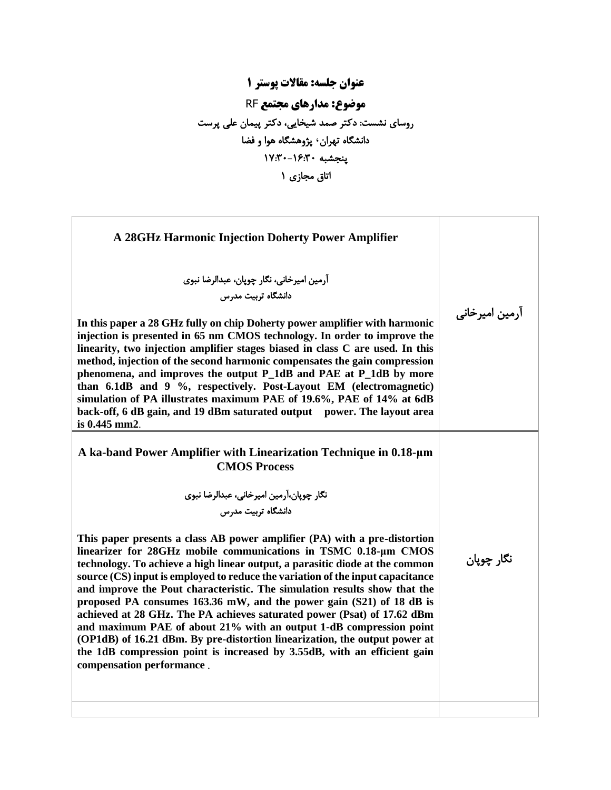**عنوان جلسه: مقاالت پوستر 1 موضوع: مدارهای مجتمع** RF روسای نشست: دکتر صمد شیخایی، دکتر پیمان علی پرست دانشگاه تهران **،** پژ و هشگاه هوا و فضا پنجشبه -16:30 17:30 اتاق مجازی 1

| A 28GHz Harmonic Injection Doherty Power Amplifier                                                                                                                                                                                                                                                                                                                                                                                                                                                                                                                                                                                                                                                                                                                                                                                                                                                                                                                        |                |
|---------------------------------------------------------------------------------------------------------------------------------------------------------------------------------------------------------------------------------------------------------------------------------------------------------------------------------------------------------------------------------------------------------------------------------------------------------------------------------------------------------------------------------------------------------------------------------------------------------------------------------------------------------------------------------------------------------------------------------------------------------------------------------------------------------------------------------------------------------------------------------------------------------------------------------------------------------------------------|----------------|
| آرمین امیرخانی، نگار چوپان، عبدالرضا نبوی<br>دانشگاه تربیت مدرس<br>In this paper a 28 GHz fully on chip Doherty power amplifier with harmonic<br>injection is presented in 65 nm CMOS technology. In order to improve the<br>linearity, two injection amplifier stages biased in class C are used. In this<br>method, injection of the second harmonic compensates the gain compression<br>phenomena, and improves the output P_1dB and PAE at P_1dB by more<br>than 6.1dB and 9 %, respectively. Post-Layout EM (electromagnetic)<br>simulation of PA illustrates maximum PAE of 19.6%, PAE of 14% at 6dB<br>back-off, 6 dB gain, and 19 dBm saturated output power. The layout area<br>is 0.445 mm2.                                                                                                                                                                                                                                                                    | آرمین امیرخانی |
| A ka-band Power Amplifier with Linearization Technique in 0.18-µm<br><b>CMOS Process</b><br>نگار چوپان،آرمین امیرخانی، عبدالرضا نبوی<br>دانشگاه تربیت مدرس<br>This paper presents a class AB power amplifier (PA) with a pre-distortion<br>linearizer for 28GHz mobile communications in TSMC 0.18-µm CMOS<br>technology. To achieve a high linear output, a parasitic diode at the common<br>source (CS) input is employed to reduce the variation of the input capacitance<br>and improve the Pout characteristic. The simulation results show that the<br>proposed PA consumes 163.36 mW, and the power gain (S21) of 18 dB is<br>achieved at 28 GHz. The PA achieves saturated power (Psat) of 17.62 dBm<br>and maximum PAE of about 21% with an output 1-dB compression point<br>(OP1dB) of 16.21 dBm. By pre-distortion linearization, the output power at<br>the 1dB compression point is increased by 3.55dB, with an efficient gain<br>compensation performance. | نگار چوپان     |
|                                                                                                                                                                                                                                                                                                                                                                                                                                                                                                                                                                                                                                                                                                                                                                                                                                                                                                                                                                           |                |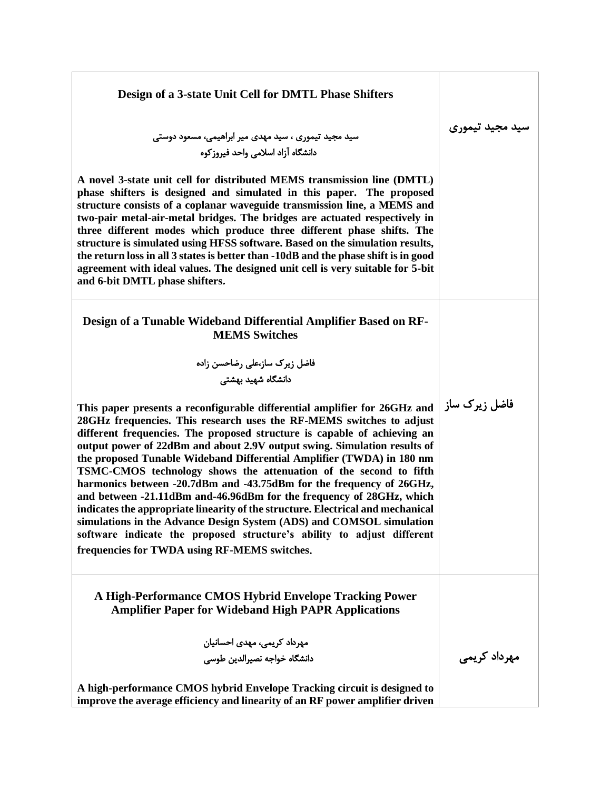| Design of a 3-state Unit Cell for DMTL Phase Shifters                                                                                                                                                                                                                                                                                                                                                                                                                                                                                                                                                                                                                                                                                                                                                                                                                                        |                 |
|----------------------------------------------------------------------------------------------------------------------------------------------------------------------------------------------------------------------------------------------------------------------------------------------------------------------------------------------------------------------------------------------------------------------------------------------------------------------------------------------------------------------------------------------------------------------------------------------------------------------------------------------------------------------------------------------------------------------------------------------------------------------------------------------------------------------------------------------------------------------------------------------|-----------------|
| سید مجید تیموری ، سید مهدی میر ابراهیمی، مسعود دوستی<br>دانشگاه آزاد اسلامی واحد فیروزکوه                                                                                                                                                                                                                                                                                                                                                                                                                                                                                                                                                                                                                                                                                                                                                                                                    | سيد مجيد تيموري |
| A novel 3-state unit cell for distributed MEMS transmission line (DMTL)<br>phase shifters is designed and simulated in this paper. The proposed<br>structure consists of a coplanar waveguide transmission line, a MEMS and<br>two-pair metal-air-metal bridges. The bridges are actuated respectively in<br>three different modes which produce three different phase shifts. The<br>structure is simulated using HFSS software. Based on the simulation results,<br>the return loss in all 3 states is better than -10dB and the phase shift is in good<br>agreement with ideal values. The designed unit cell is very suitable for 5-bit<br>and 6-bit DMTL phase shifters.                                                                                                                                                                                                                |                 |
| Design of a Tunable Wideband Differential Amplifier Based on RF-<br><b>MEMS Switches</b>                                                                                                                                                                                                                                                                                                                                                                                                                                                                                                                                                                                                                                                                                                                                                                                                     |                 |
| فاضل زیرک ساز،علی رضاحسن زاده                                                                                                                                                                                                                                                                                                                                                                                                                                                                                                                                                                                                                                                                                                                                                                                                                                                                |                 |
| دانشگاه شهید بهشت <i>ی</i>                                                                                                                                                                                                                                                                                                                                                                                                                                                                                                                                                                                                                                                                                                                                                                                                                                                                   |                 |
| This paper presents a reconfigurable differential amplifier for 26GHz and<br>28GHz frequencies. This research uses the RF-MEMS switches to adjust<br>different frequencies. The proposed structure is capable of achieving an<br>output power of 22dBm and about 2.9V output swing. Simulation results of<br>the proposed Tunable Wideband Differential Amplifier (TWDA) in 180 nm<br>TSMC-CMOS technology shows the attenuation of the second to fifth<br>harmonics between -20.7dBm and -43.75dBm for the frequency of 26GHz,<br>and between -21.11dBm and-46.96dBm for the frequency of 28GHz, which<br>indicates the appropriate linearity of the structure. Electrical and mechanical<br>simulations in the Advance Design System (ADS) and COMSOL simulation<br>software indicate the proposed structure's ability to adjust different<br>frequencies for TWDA using RF-MEMS switches. | فاضل زیرک ساز   |
| A High-Performance CMOS Hybrid Envelope Tracking Power<br><b>Amplifier Paper for Wideband High PAPR Applications</b>                                                                                                                                                                                                                                                                                                                                                                                                                                                                                                                                                                                                                                                                                                                                                                         |                 |
| مهرداد کریمی، مهدی احسانیان                                                                                                                                                                                                                                                                                                                                                                                                                                                                                                                                                                                                                                                                                                                                                                                                                                                                  |                 |
| دانشگاه خواجه نصيرالدين طوسى                                                                                                                                                                                                                                                                                                                                                                                                                                                                                                                                                                                                                                                                                                                                                                                                                                                                 | مهرداد کریمی    |
| A high-performance CMOS hybrid Envelope Tracking circuit is designed to<br>improve the average efficiency and linearity of an RF power amplifier driven                                                                                                                                                                                                                                                                                                                                                                                                                                                                                                                                                                                                                                                                                                                                      |                 |